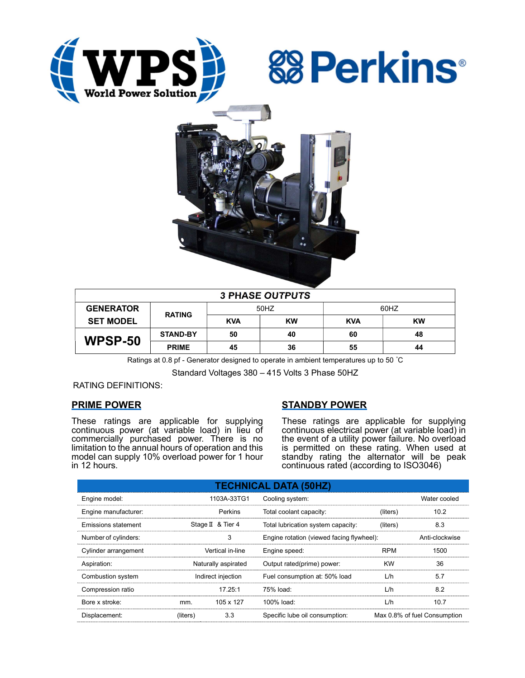





| <b>3 PHASE OUTPUTS</b> |                 |            |           |            |           |  |
|------------------------|-----------------|------------|-----------|------------|-----------|--|
| <b>GENERATOR</b>       | <b>RATING</b>   | 50HZ       |           | 60HZ       |           |  |
| <b>SET MODEL</b>       |                 | <b>KVA</b> | <b>KW</b> | <b>KVA</b> | <b>KW</b> |  |
| <b>WPSP-50</b>         | <b>STAND-BY</b> | 50         | 40        | 60         | 48        |  |
|                        | <b>PRIME</b>    | 45         | 36        | 55         | 44        |  |

Ratings at 0.8 pf - Generator designed to operate in ambient temperatures up to 50 °C

Standard Voltages 380 – 415 Volts 3 Phase 50HZ

### RATING DEFINITIONS:

## PRIME POWER

These ratings are applicable for supplying continuous power (at variable load) in lieu of commercially purchased power. There is no limitation to the annual hours of operation and this model can supply 10% overload power for 1 hour in 12 hours.

## STANDBY POWER

These ratings are applicable for supplying continuous electrical power (at variable load) in the event of a utility power failure. No overload is permitted on these rating. When used at standby rating the alternator will be peak continuous rated (according to ISO3046)

| <b>TECHNICAL DATA (50HZ)</b> |                     |                   |                                           |            |                              |  |  |
|------------------------------|---------------------|-------------------|-------------------------------------------|------------|------------------------------|--|--|
| Engine model:                | 1103A-33TG1         |                   | Cooling system:                           |            | Water cooled                 |  |  |
| Engine manufacturer:         |                     | Perkins           | Total coolant capacity:                   | (liters)   | 10.2                         |  |  |
| Emissions statement          |                     | Stage II & Tier 4 | Total lubrication system capacity:        | (liters)   | 8.3                          |  |  |
| Number of cylinders:         | 3                   |                   | Engine rotation (viewed facing flywheel): |            | Anti-clockwise               |  |  |
| Cylinder arrangement         | Vertical in-line    |                   | Engine speed:                             | <b>RPM</b> | 1500                         |  |  |
| Aspiration:                  | Naturally aspirated |                   | Output rated(prime) power:                | <b>KW</b>  | 36                           |  |  |
| Combustion system            | Indirect injection  |                   | Fuel consumption at: 50% load             | L/h        | 5.7                          |  |  |
| Compression ratio            |                     | 17.25:1           | 75% load:                                 | L/h        | 8.2                          |  |  |
| Bore x stroke:               | mm.                 | 105 x 127         | 100% load:                                | L/h        | 10.7                         |  |  |
| Displacement:                | (liters)            | 3.3               | Specific lube oil consumption:            |            | Max 0.8% of fuel Consumption |  |  |